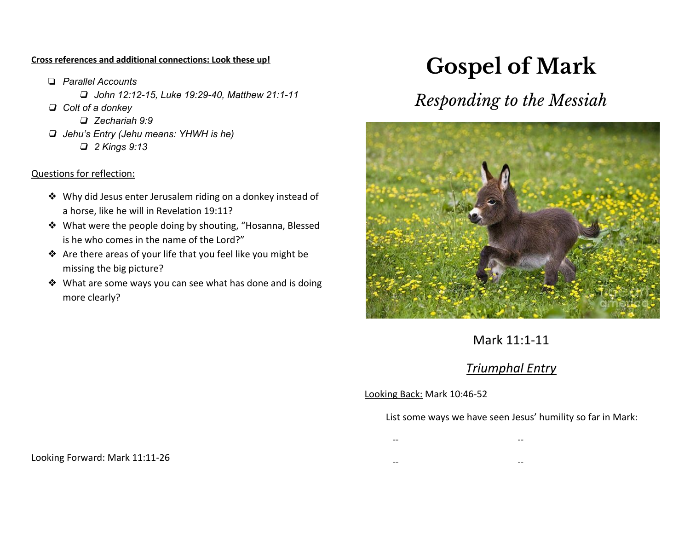#### **Cross references and additional connections: Look these up!**

❏ *Parallel Accounts* ❏ *John 12:12-15, Luke 19:29-40, Matthew 21:1-11* ❏ *Colt of a donkey* ❏ *Zechariah 9:9* ❏ *Jehu's Entry (Jehu means: YHWH is he)* ❏ *2 Kings 9:13*

#### Questions for reflection:

- ❖ Why did Jesus enter Jerusalem riding on a donkey instead of a horse, like he will in Revelation 19:11?
- ❖ What were the people doing by shouting, "Hosanna, Blessed is he who comes in the name of the Lord?"
- ❖ Are there areas of your life that you feel like you might be missing the big picture?
- ❖ What are some ways you can see what has done and is doing more clearly?

# **Gospel of Mark**

# *Responding to the Messiah*



## Mark 11:1-11

### *Triumphal Entry*

#### Looking Back: Mark 10:46-52

#### List some ways we have seen Jesus' humility so far in Mark:

- -- --
- -- --

Looking Forward: Mark 11:11-26